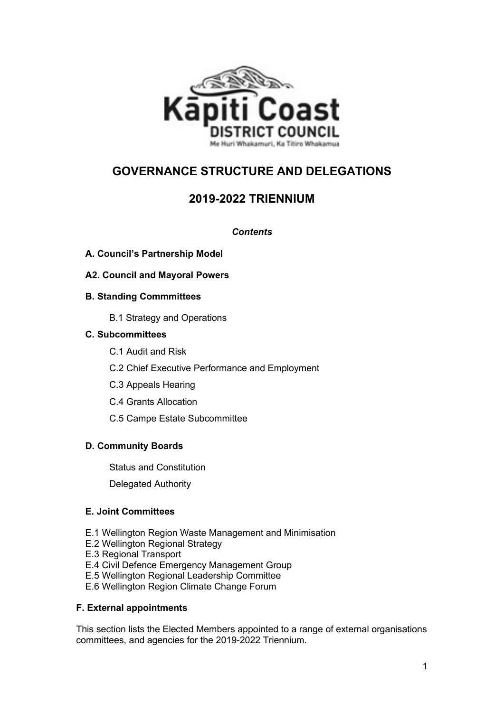

# **GOVERNANCE STRUCTURE AND DELEGATIONS**

# **2019-2022 TRIENNIUM**

## *Contents*

- **A. Council's Partnership Model**
- **A2. Council and Mayoral Powers**
- **B. Standing Commmittees**
	- B.1 Strategy and Operations

## **C. Subcommittees**

- C.1 Audit and Risk
- C.2 Chief Executive Performance and Employment
- C.3 Appeals Hearing
- C.4 Grants Allocation
- C.5 Campe Estate Subcommittee

## **D. Community Boards**

Status and Constitution

Delegated Authority

#### **E. Joint Committees**

- E.1 Wellington Region Waste Management and Minimisation
- E.2 Wellington Regional Strategy
- E.3 Regional Transport
- E.4 Civil Defence Emergency Management Group
- E.5 Wellington Regional Leadership Committee
- E.6 Wellington Region Climate Change Forum

#### **F. External appointments**

This section lists the Elected Members appointed to a range of external organisations committees, and agencies for the 2019-2022 Triennium.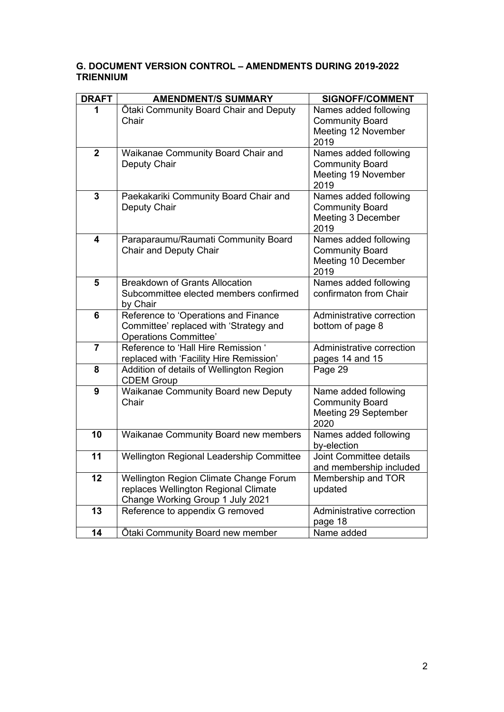## **G. DOCUMENT VERSION CONTROL – AMENDMENTS DURING 2019-2022 TRIENNIUM**

| <b>DRAFT</b>   | <b>AMENDMENT/S SUMMARY</b>                                                                                         | <b>SIGNOFF/COMMENT</b>                                                         |
|----------------|--------------------------------------------------------------------------------------------------------------------|--------------------------------------------------------------------------------|
| 1              | Otaki Community Board Chair and Deputy<br>Chair                                                                    | Names added following<br><b>Community Board</b><br>Meeting 12 November<br>2019 |
| $\overline{2}$ | Waikanae Community Board Chair and<br>Deputy Chair                                                                 | Names added following<br><b>Community Board</b><br>Meeting 19 November<br>2019 |
| 3              | Paekakariki Community Board Chair and<br>Deputy Chair                                                              | Names added following<br><b>Community Board</b><br>Meeting 3 December<br>2019  |
| 4              | Paraparaumu/Raumati Community Board<br>Chair and Deputy Chair                                                      | Names added following<br><b>Community Board</b><br>Meeting 10 December<br>2019 |
| 5              | <b>Breakdown of Grants Allocation</b><br>Subcommittee elected members confirmed<br>by Chair                        | Names added following<br>confirmaton from Chair                                |
| 6              | Reference to 'Operations and Finance<br>Committee' replaced with 'Strategy and<br><b>Operations Committee'</b>     | Administrative correction<br>bottom of page 8                                  |
| $\overline{7}$ | Reference to 'Hall Hire Remission '<br>replaced with 'Facility Hire Remission'                                     | Administrative correction<br>pages 14 and 15                                   |
| 8              | Addition of details of Wellington Region<br><b>CDEM Group</b>                                                      | Page 29                                                                        |
| 9              | Waikanae Community Board new Deputy<br>Chair                                                                       | Name added following<br><b>Community Board</b><br>Meeting 29 September<br>2020 |
| 10             | Waikanae Community Board new members                                                                               | Names added following<br>by-election                                           |
| 11             | Wellington Regional Leadership Committee                                                                           | <b>Joint Committee details</b><br>and membership included                      |
| 12             | Wellington Region Climate Change Forum<br>replaces Wellington Regional Climate<br>Change Working Group 1 July 2021 | Membership and TOR<br>updated                                                  |
| 13             | Reference to appendix G removed                                                                                    | Administrative correction<br>page 18                                           |
| 14             | Otaki Community Board new member                                                                                   | Name added                                                                     |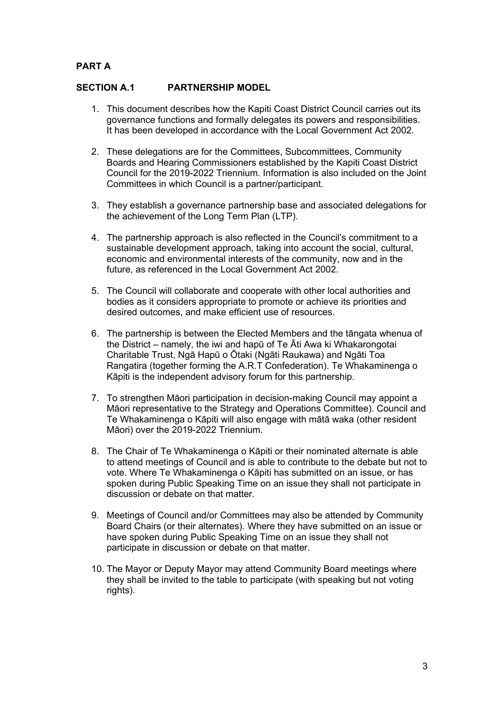## **PART A**

#### **SECTION A.1 PARTNERSHIP MODEL**

- 1. This document describes how the Kapiti Coast District Council carries out its governance functions and formally delegates its powers and responsibilities. It has been developed in accordance with the Local Government Act 2002.
- 2. These delegations are for the Committees, Subcommittees, Community Boards and Hearing Commissioners established by the Kapiti Coast District Council for the 2019-2022 Triennium. Information is also included on the Joint Committees in which Council is a partner/participant.
- 3. They establish a governance partnership base and associated delegations for the achievement of the Long Term Plan (LTP).
- 4. The partnership approach is also reflected in the Council's commitment to a sustainable development approach, taking into account the social, cultural, economic and environmental interests of the community, now and in the future, as referenced in the Local Government Act 2002.
- 5. The Council will collaborate and cooperate with other local authorities and bodies as it considers appropriate to promote or achieve its priorities and desired outcomes, and make efficient use of resources.
- 6. The partnership is between the Elected Members and the tāngata whenua of the District – namely, the iwi and hapū of Te Āti Awa ki Whakarongotai Charitable Trust, Ngā Hapū o Ōtaki (Ngāti Raukawa) and Ngāti Toa Rangatira (together forming the A.R.T Confederation). Te Whakaminenga o Kāpiti is the independent advisory forum for this partnership.
- 7. To strengthen Māori participation in decision-making Council may appoint a Māori representative to the Strategy and Operations Committee). Council and Te Whakaminenga o Kāpiti will also engage with mātā waka (other resident Māori) over the 2019-2022 Triennium.
- 8. The Chair of Te Whakaminenga o Kāpiti or their nominated alternate is able to attend meetings of Council and is able to contribute to the debate but not to vote. Where Te Whakaminenga o Kāpiti has submitted on an issue, or has spoken during Public Speaking Time on an issue they shall not participate in discussion or debate on that matter.
- 9. Meetings of Council and/or Committees may also be attended by Community Board Chairs (or their alternates). Where they have submitted on an issue or have spoken during Public Speaking Time on an issue they shall not participate in discussion or debate on that matter.
- 10. The Mayor or Deputy Mayor may attend Community Board meetings where they shall be invited to the table to participate (with speaking but not voting rights).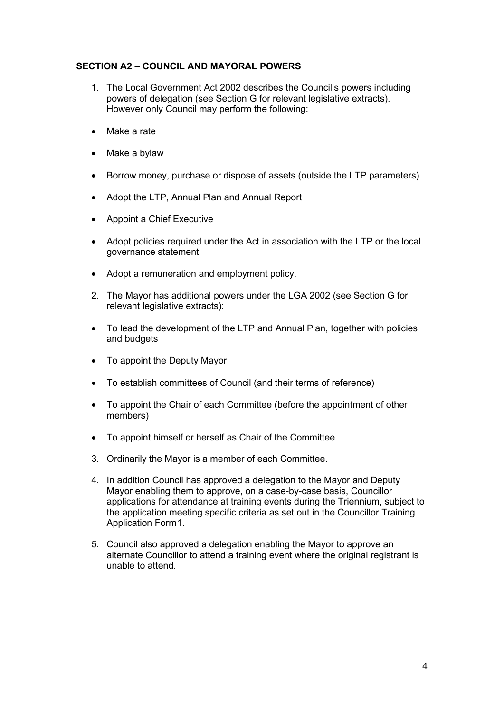## **SECTION A2 – COUNCIL AND MAYORAL POWERS**

- 1. The Local Government Act 2002 describes the Council's powers including powers of delegation (see Section G for relevant legislative extracts). However only Council may perform the following:
- Make a rate
- Make a bylaw
- Borrow money, purchase or dispose of assets (outside the LTP parameters)
- Adopt the LTP, Annual Plan and Annual Report
- Appoint a Chief Executive
- Adopt policies required under the Act in association with the LTP or the local governance statement
- Adopt a remuneration and employment policy.
- 2. The Mayor has additional powers under the LGA 2002 (see Section G for relevant legislative extracts):
- To lead the development of the LTP and Annual Plan, together with policies and budgets
- To appoint the Deputy Mayor
- To establish committees of Council (and their terms of reference)
- To appoint the Chair of each Committee (before the appointment of other members)
- To appoint himself or herself as Chair of the Committee.
- 3. Ordinarily the Mayor is a member of each Committee.
- 4. In addition Council has approved a delegation to the Mayor and Deputy Mayor enabling them to approve, on a case-by-case basis, Councillor applications for attendance at training events during the Triennium, subject to the application meeting specific criteria as set out in the Councillor Training Application Form[1](#page-3-0).
- <span id="page-3-0"></span>5. Council also approved a delegation enabling the Mayor to approve an alternate Councillor to attend a training event where the original registrant is unable to attend.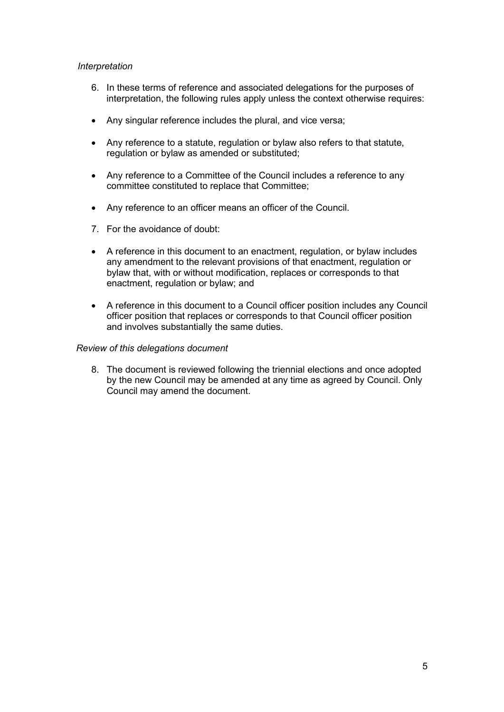#### *Interpretation*

- 6. In these terms of reference and associated delegations for the purposes of interpretation, the following rules apply unless the context otherwise requires:
- Any singular reference includes the plural, and vice versa;
- Any reference to a statute, regulation or bylaw also refers to that statute, regulation or bylaw as amended or substituted;
- Any reference to a Committee of the Council includes a reference to any committee constituted to replace that Committee;
- Any reference to an officer means an officer of the Council.
- 7. For the avoidance of doubt:
- A reference in this document to an enactment, regulation, or bylaw includes any amendment to the relevant provisions of that enactment, regulation or bylaw that, with or without modification, replaces or corresponds to that enactment, regulation or bylaw; and
- A reference in this document to a Council officer position includes any Council officer position that replaces or corresponds to that Council officer position and involves substantially the same duties.

#### *Review of this delegations document*

8. The document is reviewed following the triennial elections and once adopted by the new Council may be amended at any time as agreed by Council. Only Council may amend the document.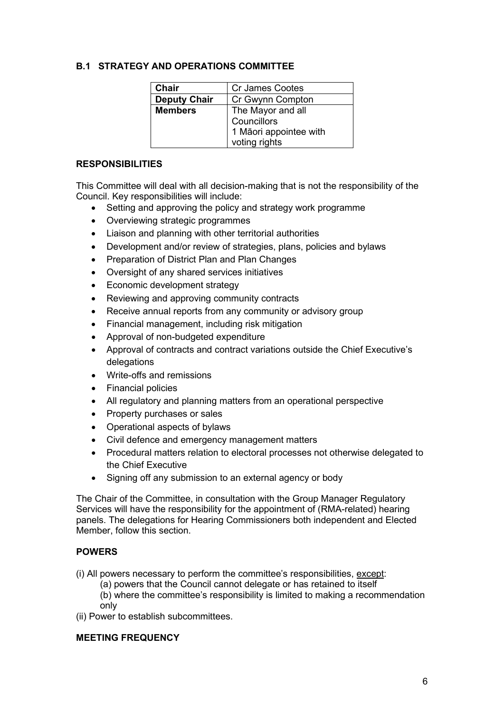#### **B.1 STRATEGY AND OPERATIONS COMMITTEE**

| <b>Chair</b>        | <b>Cr James Cootes</b> |
|---------------------|------------------------|
| <b>Deputy Chair</b> | Cr Gwynn Compton       |
| <b>Members</b>      | The Mayor and all      |
|                     | Councillors            |
|                     | 1 Māori appointee with |
|                     | voting rights          |

#### **RESPONSIBILITIES**

This Committee will deal with all decision-making that is not the responsibility of the Council. Key responsibilities will include:

- Setting and approving the policy and strategy work programme
- Overviewing strategic programmes
- Liaison and planning with other territorial authorities
- Development and/or review of strategies, plans, policies and bylaws
- Preparation of District Plan and Plan Changes
- Oversight of any shared services initiatives
- Economic development strategy
- Reviewing and approving community contracts
- Receive annual reports from any community or advisory group
- Financial management, including risk mitigation
- Approval of non-budgeted expenditure
- Approval of contracts and contract variations outside the Chief Executive's delegations
- Write-offs and remissions
- Financial policies
- All regulatory and planning matters from an operational perspective
- Property purchases or sales
- Operational aspects of bylaws
- Civil defence and emergency management matters
- Procedural matters relation to electoral processes not otherwise delegated to the Chief Executive
- Signing off any submission to an external agency or body

The Chair of the Committee, in consultation with the Group Manager Regulatory Services will have the responsibility for the appointment of (RMA-related) hearing panels. The delegations for Hearing Commissioners both independent and Elected Member, follow this section.

#### **POWERS**

(i) All powers necessary to perform the committee's responsibilities, except:

(a) powers that the Council cannot delegate or has retained to itself

(b) where the committee's responsibility is limited to making a recommendation only

(ii) Power to establish subcommittees.

#### **MEETING FREQUENCY**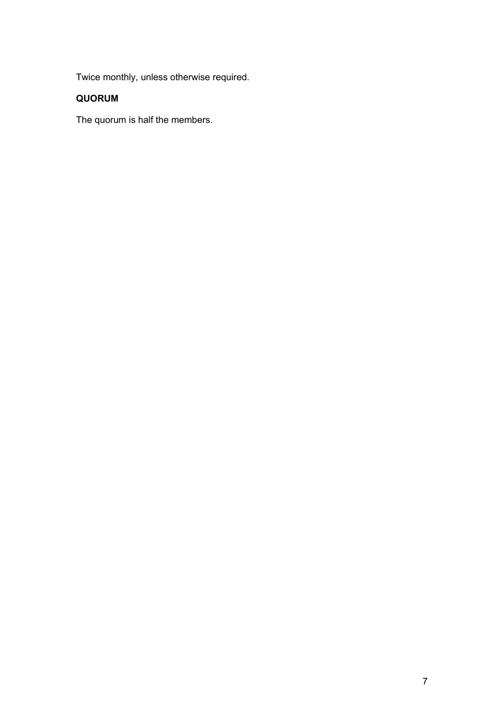Twice monthly, unless otherwise required.

## **QUORUM**

The quorum is half the members.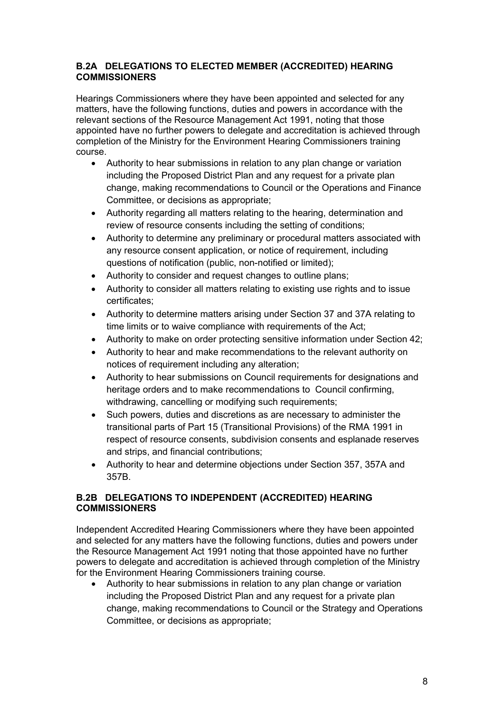## **B.2A DELEGATIONS TO ELECTED MEMBER (ACCREDITED) HEARING COMMISSIONERS**

Hearings Commissioners where they have been appointed and selected for any matters, have the following functions, duties and powers in accordance with the relevant sections of the Resource Management Act 1991, noting that those appointed have no further powers to delegate and accreditation is achieved through completion of the Ministry for the Environment Hearing Commissioners training course.

- Authority to hear submissions in relation to any plan change or variation including the Proposed District Plan and any request for a private plan change, making recommendations to Council or the Operations and Finance Committee, or decisions as appropriate;
- Authority regarding all matters relating to the hearing, determination and review of resource consents including the setting of conditions;
- Authority to determine any preliminary or procedural matters associated with any resource consent application, or notice of requirement, including questions of notification (public, non-notified or limited);
- Authority to consider and request changes to outline plans;
- Authority to consider all matters relating to existing use rights and to issue certificates;
- Authority to determine matters arising under Section 37 and 37A relating to time limits or to waive compliance with requirements of the Act;
- Authority to make on order protecting sensitive information under Section 42;
- Authority to hear and make recommendations to the relevant authority on notices of requirement including any alteration;
- Authority to hear submissions on Council requirements for designations and heritage orders and to make recommendations to Council confirming, withdrawing, cancelling or modifying such requirements;
- Such powers, duties and discretions as are necessary to administer the transitional parts of Part 15 (Transitional Provisions) of the RMA 1991 in respect of resource consents, subdivision consents and esplanade reserves and strips, and financial contributions;
- Authority to hear and determine objections under Section 357, 357A and 357B.

## **B.2B DELEGATIONS TO INDEPENDENT (ACCREDITED) HEARING COMMISSIONERS**

Independent Accredited Hearing Commissioners where they have been appointed and selected for any matters have the following functions, duties and powers under the Resource Management Act 1991 noting that those appointed have no further powers to delegate and accreditation is achieved through completion of the Ministry for the Environment Hearing Commissioners training course.

• Authority to hear submissions in relation to any plan change or variation including the Proposed District Plan and any request for a private plan change, making recommendations to Council or the Strategy and Operations Committee, or decisions as appropriate;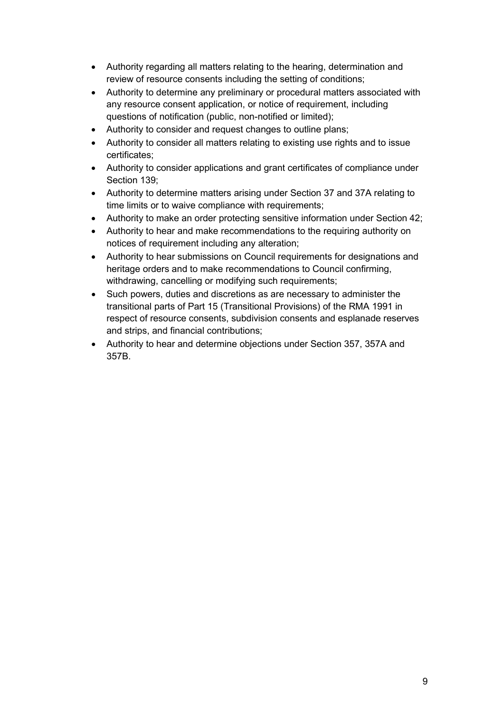- Authority regarding all matters relating to the hearing, determination and review of resource consents including the setting of conditions;
- Authority to determine any preliminary or procedural matters associated with any resource consent application, or notice of requirement, including questions of notification (public, non-notified or limited);
- Authority to consider and request changes to outline plans;
- Authority to consider all matters relating to existing use rights and to issue certificates;
- Authority to consider applications and grant certificates of compliance under Section 139;
- Authority to determine matters arising under Section 37 and 37A relating to time limits or to waive compliance with requirements;
- Authority to make an order protecting sensitive information under Section 42;
- Authority to hear and make recommendations to the requiring authority on notices of requirement including any alteration;
- Authority to hear submissions on Council requirements for designations and heritage orders and to make recommendations to Council confirming, withdrawing, cancelling or modifying such requirements;
- Such powers, duties and discretions as are necessary to administer the transitional parts of Part 15 (Transitional Provisions) of the RMA 1991 in respect of resource consents, subdivision consents and esplanade reserves and strips, and financial contributions;
- Authority to hear and determine objections under Section 357, 357A and 357B.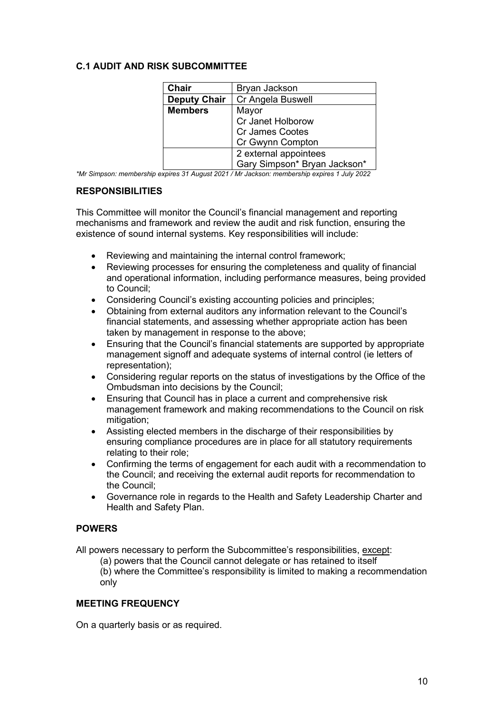## **C.1 AUDIT AND RISK SUBCOMMITTEE**

| <b>Chair</b>        | Bryan Jackson                |  |
|---------------------|------------------------------|--|
| <b>Deputy Chair</b> | Cr Angela Buswell            |  |
| <b>Members</b>      | Mayor                        |  |
|                     | Cr Janet Holborow            |  |
|                     | Cr James Cootes              |  |
|                     | Cr Gwynn Compton             |  |
|                     | 2 external appointees        |  |
|                     | Gary Simpson* Bryan Jackson* |  |

*\*Mr Simpson: membership expires 31 August 2021 / Mr Jackson: membership expires 1 July 2022*

## **RESPONSIBILITIES**

This Committee will monitor the Council's financial management and reporting mechanisms and framework and review the audit and risk function, ensuring the existence of sound internal systems. Key responsibilities will include:

- Reviewing and maintaining the internal control framework;
- Reviewing processes for ensuring the completeness and quality of financial and operational information, including performance measures, being provided to Council;
- Considering Council's existing accounting policies and principles;
- Obtaining from external auditors any information relevant to the Council's financial statements, and assessing whether appropriate action has been taken by management in response to the above;
- Ensuring that the Council's financial statements are supported by appropriate management signoff and adequate systems of internal control (ie letters of representation);
- Considering regular reports on the status of investigations by the Office of the Ombudsman into decisions by the Council;
- Ensuring that Council has in place a current and comprehensive risk management framework and making recommendations to the Council on risk mitigation;
- Assisting elected members in the discharge of their responsibilities by ensuring compliance procedures are in place for all statutory requirements relating to their role;
- Confirming the terms of engagement for each audit with a recommendation to the Council; and receiving the external audit reports for recommendation to the Council;
- Governance role in regards to the Health and Safety Leadership Charter and Health and Safety Plan.

#### **POWERS**

All powers necessary to perform the Subcommittee's responsibilities, except:

(a) powers that the Council cannot delegate or has retained to itself

(b) where the Committee's responsibility is limited to making a recommendation only

#### **MEETING FREQUENCY**

On a quarterly basis or as required.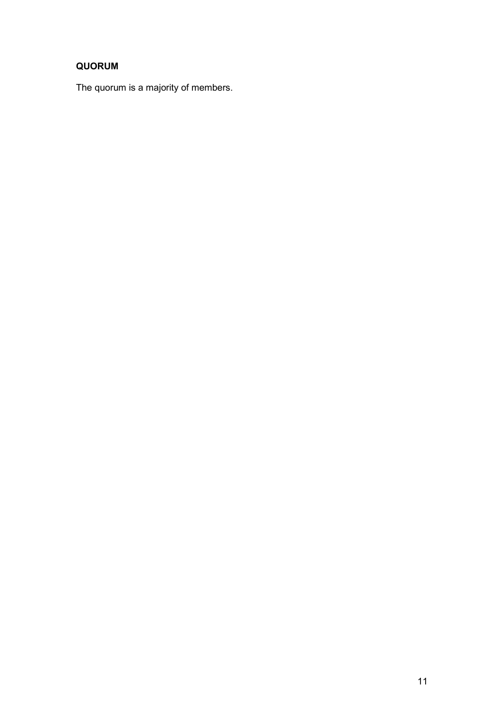## **QUORUM**

The quorum is a majority of members.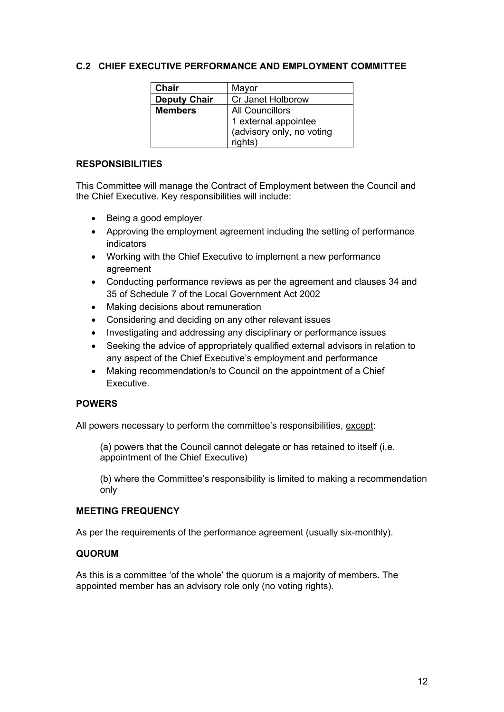## **C.2 CHIEF EXECUTIVE PERFORMANCE AND EMPLOYMENT COMMITTEE**

| Chair               | Mayor                     |
|---------------------|---------------------------|
| <b>Deputy Chair</b> | Cr Janet Holborow         |
| <b>Members</b>      | <b>All Councillors</b>    |
|                     | 1 external appointee      |
|                     | (advisory only, no voting |
|                     | rights)                   |

#### **RESPONSIBILITIES**

This Committee will manage the Contract of Employment between the Council and the Chief Executive. Key responsibilities will include:

- Being a good employer
- Approving the employment agreement including the setting of performance indicators
- Working with the Chief Executive to implement a new performance agreement
- Conducting performance reviews as per the agreement and clauses 34 and 35 of Schedule 7 of the Local Government Act 2002
- Making decisions about remuneration
- Considering and deciding on any other relevant issues
- Investigating and addressing any disciplinary or performance issues
- Seeking the advice of appropriately qualified external advisors in relation to any aspect of the Chief Executive's employment and performance
- Making recommendation/s to Council on the appointment of a Chief Executive.

#### **POWERS**

All powers necessary to perform the committee's responsibilities, except:

(a) powers that the Council cannot delegate or has retained to itself (i.e. appointment of the Chief Executive)

(b) where the Committee's responsibility is limited to making a recommendation only

#### **MEETING FREQUENCY**

As per the requirements of the performance agreement (usually six-monthly).

#### **QUORUM**

As this is a committee 'of the whole' the quorum is a majority of members. The appointed member has an advisory role only (no voting rights).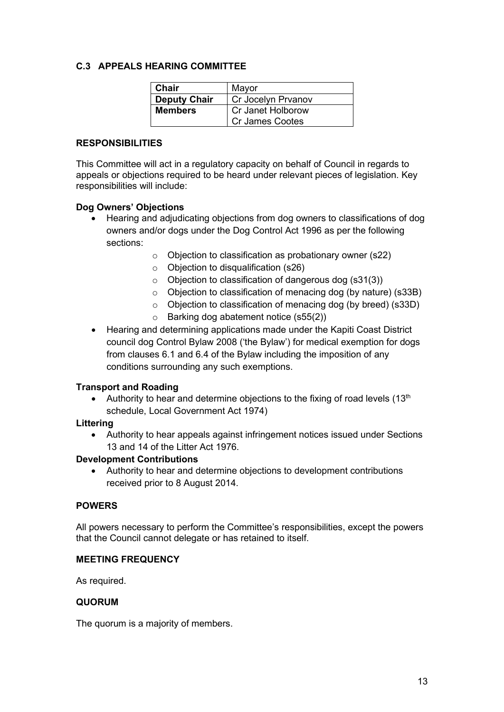## **C.3 APPEALS HEARING COMMITTEE**

| <b>Chair</b>        | Mayor                  |
|---------------------|------------------------|
| <b>Deputy Chair</b> | Cr Jocelyn Prvanov     |
| <b>Members</b>      | Cr Janet Holborow      |
|                     | <b>Cr James Cootes</b> |

#### **RESPONSIBILITIES**

This Committee will act in a regulatory capacity on behalf of Council in regards to appeals or objections required to be heard under relevant pieces of legislation. Key responsibilities will include:

#### **Dog Owners' Objections**

- Hearing and adjudicating objections from dog owners to classifications of dog owners and/or dogs under the Dog Control Act 1996 as per the following sections:
	- o Objection to classification as probationary owner (s22)
	- $\circ$  Objection to disqualification (s26)
	- o Objection to classification of dangerous dog (s31(3))
	- o Objection to classification of menacing dog (by nature) (s33B)
	- o Objection to classification of menacing dog (by breed) (s33D)
	- o Barking dog abatement notice (s55(2))
- Hearing and determining applications made under the Kapiti Coast District council dog Control Bylaw 2008 ('the Bylaw') for medical exemption for dogs from clauses 6.1 and 6.4 of the Bylaw including the imposition of any conditions surrounding any such exemptions.

#### **Transport and Roading**

Authority to hear and determine objections to the fixing of road levels  $(13<sup>th</sup>)$ schedule, Local Government Act 1974)

#### **Littering**

• Authority to hear appeals against infringement notices issued under Sections 13 and 14 of the Litter Act 1976.

#### **Development Contributions**

• Authority to hear and determine objections to development contributions received prior to 8 August 2014.

#### **POWERS**

All powers necessary to perform the Committee's responsibilities, except the powers that the Council cannot delegate or has retained to itself.

#### **MEETING FREQUENCY**

As required.

#### **QUORUM**

The quorum is a majority of members.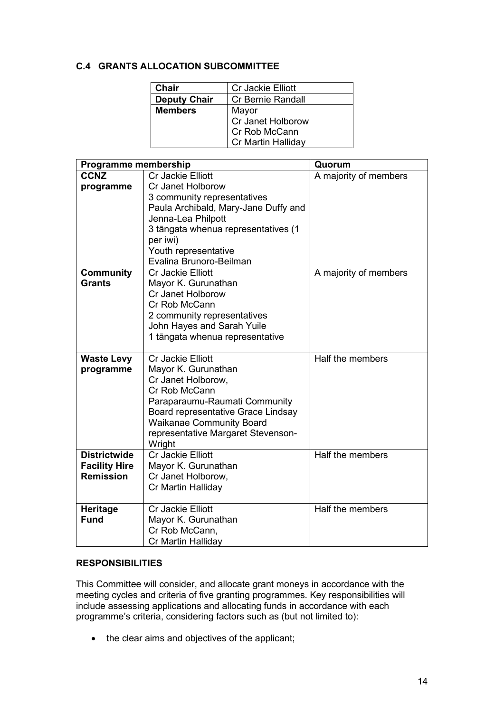## **C.4 GRANTS ALLOCATION SUBCOMMITTEE**

| Chair               | Cr Jackie Elliott        |
|---------------------|--------------------------|
| <b>Deputy Chair</b> | <b>Cr Bernie Randall</b> |
| <b>Members</b>      | Mayor                    |
|                     | Cr Janet Holborow        |
|                     | Cr Rob McCann            |
|                     | Cr Martin Halliday       |

| Programme membership                                            |                                                                                                                                                                                                                                                  | Quorum                |
|-----------------------------------------------------------------|--------------------------------------------------------------------------------------------------------------------------------------------------------------------------------------------------------------------------------------------------|-----------------------|
| <b>CCNZ</b><br>programme                                        | <b>Cr Jackie Elliott</b><br>Cr Janet Holborow<br>3 community representatives<br>Paula Archibald, Mary-Jane Duffy and<br>Jenna-Lea Philpott<br>3 tāngata whenua representatives (1<br>per iwi)<br>Youth representative<br>Evalina Brunoro-Beilman | A majority of members |
| <b>Community</b><br><b>Grants</b>                               | Cr Jackie Elliott<br>Mayor K. Gurunathan<br>Cr Janet Holborow<br>Cr Rob McCann<br>2 community representatives<br>John Hayes and Sarah Yuile<br>1 tāngata whenua representative                                                                   | A majority of members |
| <b>Waste Levy</b><br>programme                                  | <b>Cr Jackie Elliott</b><br>Mayor K. Gurunathan<br>Cr Janet Holborow,<br>Cr Rob McCann<br>Paraparaumu-Raumati Community<br>Board representative Grace Lindsay<br><b>Waikanae Community Board</b><br>representative Margaret Stevenson-<br>Wright | Half the members      |
| <b>Districtwide</b><br><b>Facility Hire</b><br><b>Remission</b> | <b>Cr Jackie Elliott</b><br>Mayor K. Gurunathan<br>Cr Janet Holborow,<br>Cr Martin Halliday                                                                                                                                                      | Half the members      |
| <b>Heritage</b><br><b>Fund</b>                                  | <b>Cr Jackie Elliott</b><br>Mayor K. Gurunathan<br>Cr Rob McCann,<br>Cr Martin Halliday                                                                                                                                                          | Half the members      |

## **RESPONSIBILITIES**

This Committee will consider, and allocate grant moneys in accordance with the meeting cycles and criteria of five granting programmes. Key responsibilities will include assessing applications and allocating funds in accordance with each programme's criteria, considering factors such as (but not limited to):

• the clear aims and objectives of the applicant;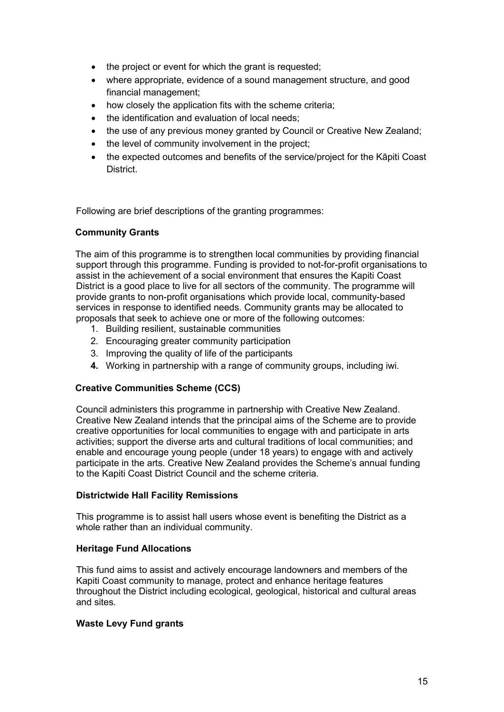- the project or event for which the grant is requested;
- where appropriate, evidence of a sound management structure, and good financial management;
- how closely the application fits with the scheme criteria;
- the identification and evaluation of local needs:
- the use of any previous money granted by Council or Creative New Zealand;
- the level of community involvement in the project;
- the expected outcomes and benefits of the service/project for the Kāpiti Coast District.

Following are brief descriptions of the granting programmes:

#### **Community Grants**

The aim of this programme is to strengthen local communities by providing financial support through this programme. Funding is provided to not-for-profit organisations to assist in the achievement of a social environment that ensures the Kapiti Coast District is a good place to live for all sectors of the community. The programme will provide grants to non-profit organisations which provide local, community-based services in response to identified needs. Community grants may be allocated to proposals that seek to achieve one or more of the following outcomes:

- 1. Building resilient, sustainable communities
- 2. Encouraging greater community participation
- 3. Improving the quality of life of the participants
- **4.** Working in partnership with a range of community groups, including iwi.

#### **Creative Communities Scheme (CCS)**

Council administers this programme in partnership with Creative New Zealand. Creative New Zealand intends that the principal aims of the Scheme are to provide creative opportunities for local communities to engage with and participate in arts activities; support the diverse arts and cultural traditions of local communities; and enable and encourage young people (under 18 years) to engage with and actively participate in the arts. Creative New Zealand provides the Scheme's annual funding to the Kapiti Coast District Council and the scheme criteria.

#### **Districtwide Hall Facility Remissions**

This programme is to assist hall users whose event is benefiting the District as a whole rather than an individual community.

#### **Heritage Fund Allocations**

This fund aims to assist and actively encourage landowners and members of the Kapiti Coast community to manage, protect and enhance heritage features throughout the District including ecological, geological, historical and cultural areas and sites.

#### **Waste Levy Fund grants**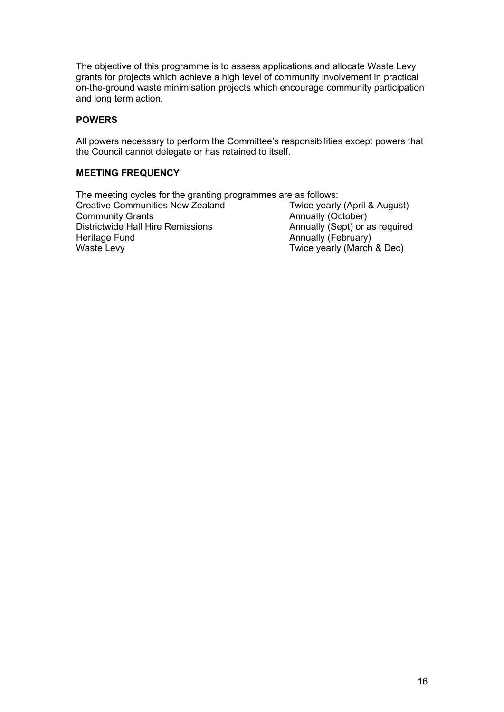The objective of this programme is to assess applications and allocate Waste Levy grants for projects which achieve a high level of community involvement in practical on-the-ground waste minimisation projects which encourage community participation and long term action.

## **POWERS**

All powers necessary to perform the Committee's responsibilities except powers that the Council cannot delegate or has retained to itself.

## **MEETING FREQUENCY**

The meeting cycles for the granting programmes are as follows:<br>Creative Communities New Zealand Twice yearly (April & August) Creative Communities New Zealand<br>Community Grants Annually (October)<br>Annually (Sept) or as required Districtwide Hall Hire Remissions<br>Heritage Fund Heritage Fund **Annually (February)**<br>
Waste Levy **Twice yearly (March** Twice yearly (March & Dec)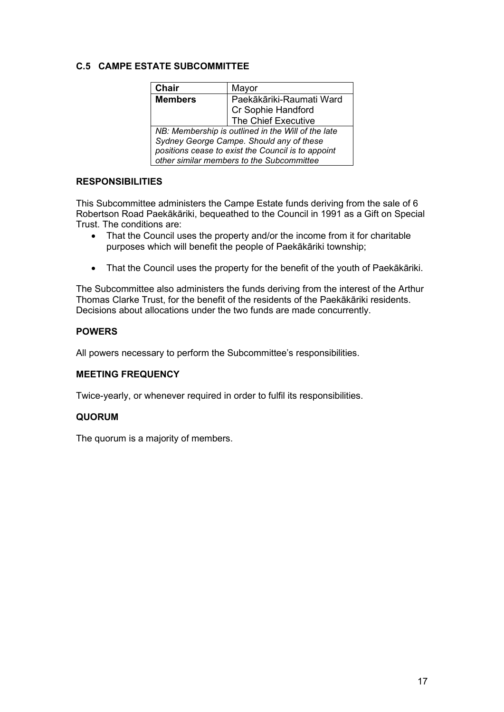## **C.5 CAMPE ESTATE SUBCOMMITTEE**

| <b>Chair</b>                                       | Mayor                                                                 |
|----------------------------------------------------|-----------------------------------------------------------------------|
| <b>Members</b>                                     | Paekākāriki-Raumati Ward<br>Cr Sophie Handford<br>The Chief Executive |
|                                                    |                                                                       |
|                                                    |                                                                       |
| NB: Membership is outlined in the Will of the late |                                                                       |

*Sydney George Campe. Should any of these positions cease to exist the Council is to appoint other similar members to the Subcommittee*

#### **RESPONSIBILITIES**

This Subcommittee administers the Campe Estate funds deriving from the sale of 6 Robertson Road Paekākāriki, bequeathed to the Council in 1991 as a Gift on Special Trust. The conditions are:

- That the Council uses the property and/or the income from it for charitable purposes which will benefit the people of Paekākāriki township;
- That the Council uses the property for the benefit of the youth of Paekākāriki.

The Subcommittee also administers the funds deriving from the interest of the Arthur Thomas Clarke Trust, for the benefit of the residents of the Paekākāriki residents. Decisions about allocations under the two funds are made concurrently.

## **POWERS**

All powers necessary to perform the Subcommittee's responsibilities.

#### **MEETING FREQUENCY**

Twice-yearly, or whenever required in order to fulfil its responsibilities.

#### **QUORUM**

The quorum is a majority of members.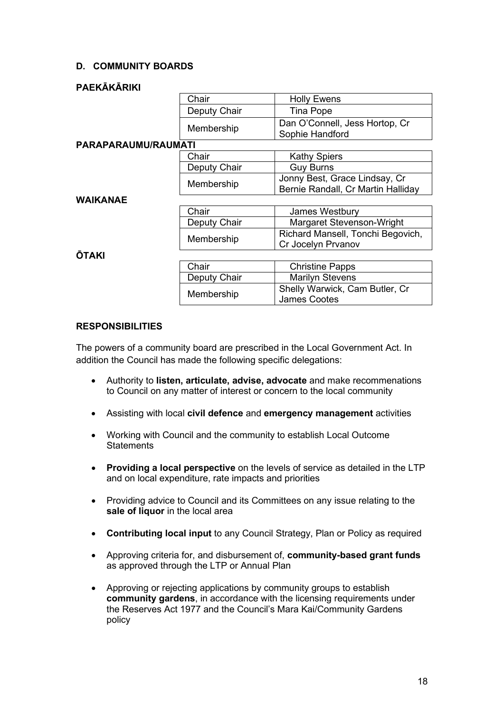## **D. COMMUNITY BOARDS**

## **PAEKĀKĀRIKI**

|                     | Chair        | <b>Holly Ewens</b>                 |
|---------------------|--------------|------------------------------------|
|                     | Deputy Chair | Tina Pope                          |
|                     | Membership   | Dan O'Connell, Jess Hortop, Cr     |
|                     |              | Sophie Handford                    |
| PARAPARAUMU/RAUMATI |              |                                    |
|                     | Chair        | <b>Kathy Spiers</b>                |
|                     | Deputy Chair | <b>Guy Burns</b>                   |
|                     | Membership   | Jonny Best, Grace Lindsay, Cr      |
|                     |              | Bernie Randall, Cr Martin Halliday |
| <b>WAIKANAE</b>     |              |                                    |
|                     | Chair        | James Westbury                     |
|                     | Deputy Chair | Margaret Stevenson-Wright          |
|                     | Membership   | Richard Mansell, Tonchi Begovich,  |
|                     |              | Cr Jocelyn Prvanov                 |
| <b>ŌTAKI</b>        |              |                                    |
|                     | Chair        | <b>Christine Papps</b>             |
|                     | Deputy Chair | <b>Marilyn Stevens</b>             |
|                     | Membership   | Shelly Warwick, Cam Butler, Cr     |
|                     |              | <b>James Cootes</b>                |

## **RESPONSIBILITIES**

The powers of a community board are prescribed in the Local Government Act. In addition the Council has made the following specific delegations:

- Authority to **listen, articulate, advise, advocate** and make recommenations to Council on any matter of interest or concern to the local community
- Assisting with local **civil defence** and **emergency management** activities
- Working with Council and the community to establish Local Outcome **Statements**
- **Providing a local perspective** on the levels of service as detailed in the LTP and on local expenditure, rate impacts and priorities
- Providing advice to Council and its Committees on any issue relating to the **sale of liquor** in the local area
- **Contributing local input** to any Council Strategy, Plan or Policy as required
- Approving criteria for, and disbursement of, **community-based grant funds** as approved through the LTP or Annual Plan
- Approving or rejecting applications by community groups to establish **community gardens**, in accordance with the licensing requirements under the Reserves Act 1977 and the Council's Mara Kai/Community Gardens policy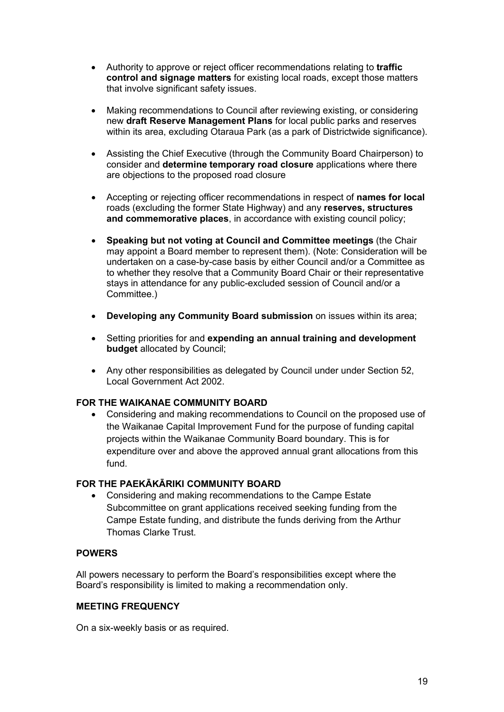- Authority to approve or reject officer recommendations relating to **traffic control and signage matters** for existing local roads, except those matters that involve significant safety issues.
- Making recommendations to Council after reviewing existing, or considering new **draft Reserve Management Plans** for local public parks and reserves within its area, excluding Otaraua Park (as a park of Districtwide significance).
- Assisting the Chief Executive (through the Community Board Chairperson) to consider and **determine temporary road closure** applications where there are objections to the proposed road closure
- Accepting or rejecting officer recommendations in respect of **names for local** roads (excluding the former State Highway) and any **reserves, structures and commemorative places**, in accordance with existing council policy;
- **Speaking but not voting at Council and Committee meetings** (the Chair may appoint a Board member to represent them). (Note: Consideration will be undertaken on a case-by-case basis by either Council and/or a Committee as to whether they resolve that a Community Board Chair or their representative stays in attendance for any public-excluded session of Council and/or a Committee.)
- **Developing any Community Board submission** on issues within its area;
- Setting priorities for and **expending an annual training and development budget** allocated by Council;
- Any other responsibilities as delegated by Council under under Section 52, Local Government Act 2002.

## **FOR THE WAIKANAE COMMUNITY BOARD**

• Considering and making recommendations to Council on the proposed use of the Waikanae Capital Improvement Fund for the purpose of funding capital projects within the Waikanae Community Board boundary. This is for expenditure over and above the approved annual grant allocations from this fund.

#### **FOR THE PAEKĀKĀRIKI COMMUNITY BOARD**

• Considering and making recommendations to the Campe Estate Subcommittee on grant applications received seeking funding from the Campe Estate funding, and distribute the funds deriving from the Arthur Thomas Clarke Trust.

### **POWERS**

All powers necessary to perform the Board's responsibilities except where the Board's responsibility is limited to making a recommendation only.

#### **MEETING FREQUENCY**

On a six-weekly basis or as required.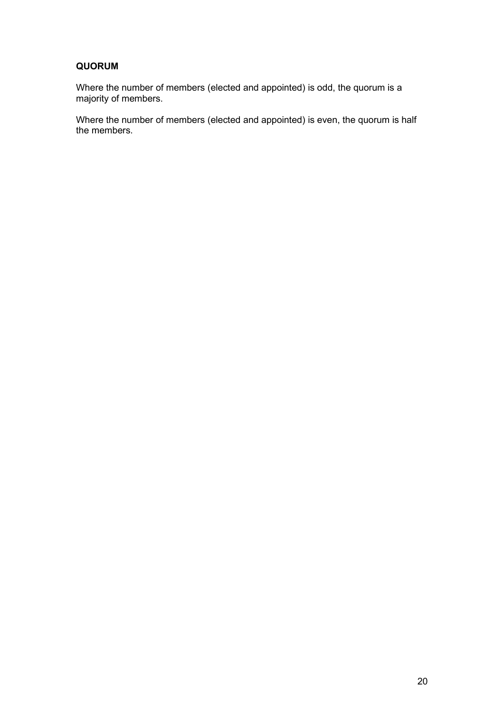## **QUORUM**

Where the number of members (elected and appointed) is odd, the quorum is a majority of members.

Where the number of members (elected and appointed) is even, the quorum is half the members.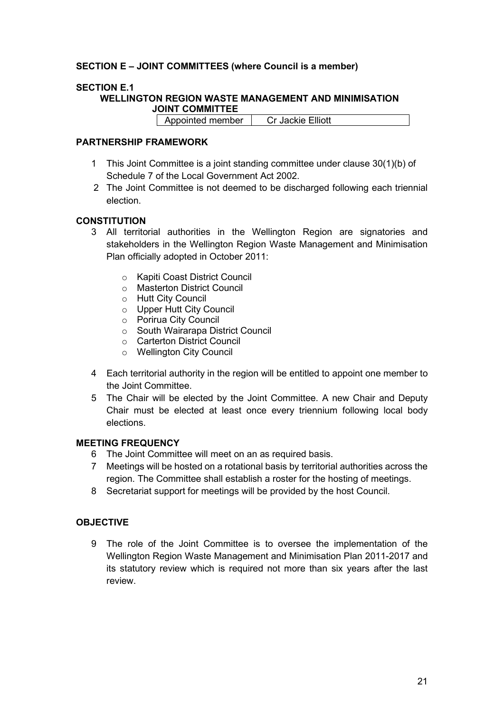## **SECTION E – JOINT COMMITTEES (where Council is a member)**

## **SECTION E.1**

**WELLINGTON REGION WASTE MANAGEMENT AND MINIMISATION JOINT COMMITTEE**

Appointed member | Cr Jackie Elliott

#### **PARTNERSHIP FRAMEWORK**

- 1 This Joint Committee is a joint standing committee under clause 30(1)(b) of Schedule 7 of the Local Government Act 2002.
- 2 The Joint Committee is not deemed to be discharged following each triennial election.

#### **CONSTITUTION**

- 3 All territorial authorities in the Wellington Region are signatories and stakeholders in the Wellington Region Waste Management and Minimisation Plan officially adopted in October 2011:
	- o Kapiti Coast District Council
	- o Masterton District Council
	- o Hutt City Council
	- o Upper Hutt City Council
	- o Porirua City Council
	- o South Wairarapa District Council
	- o Carterton District Council
	- o Wellington City Council
- 4 Each territorial authority in the region will be entitled to appoint one member to the Joint Committee.
- 5 The Chair will be elected by the Joint Committee. A new Chair and Deputy Chair must be elected at least once every triennium following local body elections.

#### **MEETING FREQUENCY**

- 6 The Joint Committee will meet on an as required basis.
- 7 Meetings will be hosted on a rotational basis by territorial authorities across the region. The Committee shall establish a roster for the hosting of meetings.
- 8 Secretariat support for meetings will be provided by the host Council.

## **OBJECTIVE**

9 The role of the Joint Committee is to oversee the implementation of the Wellington Region Waste Management and Minimisation Plan 2011-2017 and its statutory review which is required not more than six years after the last review.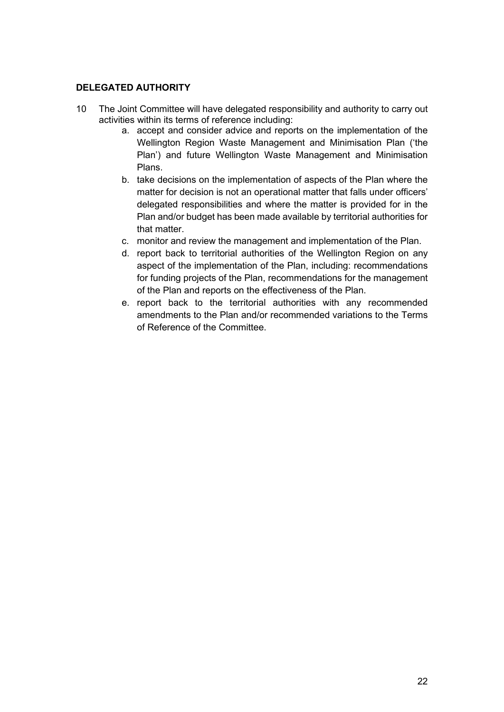## **DELEGATED AUTHORITY**

- 10 The Joint Committee will have delegated responsibility and authority to carry out activities within its terms of reference including:
	- a. accept and consider advice and reports on the implementation of the Wellington Region Waste Management and Minimisation Plan ('the Plan') and future Wellington Waste Management and Minimisation Plans.
	- b. take decisions on the implementation of aspects of the Plan where the matter for decision is not an operational matter that falls under officers' delegated responsibilities and where the matter is provided for in the Plan and/or budget has been made available by territorial authorities for that matter.
	- c. monitor and review the management and implementation of the Plan.
	- d. report back to territorial authorities of the Wellington Region on any aspect of the implementation of the Plan, including: recommendations for funding projects of the Plan, recommendations for the management of the Plan and reports on the effectiveness of the Plan.
	- e. report back to the territorial authorities with any recommended amendments to the Plan and/or recommended variations to the Terms of Reference of the Committee.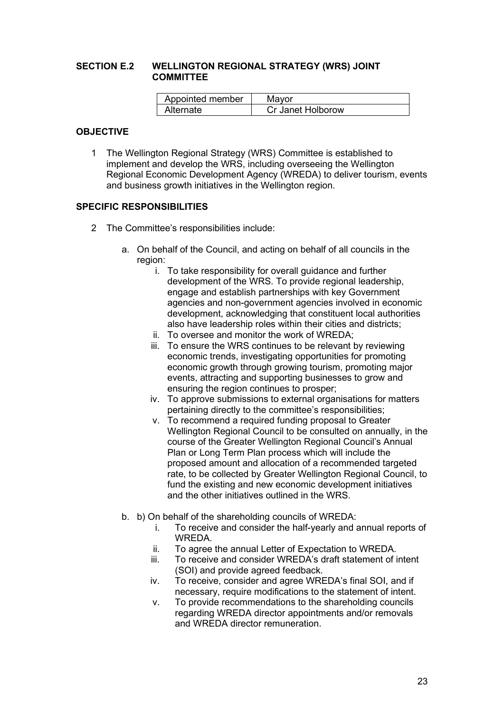#### **SECTION E.2 WELLINGTON REGIONAL STRATEGY (WRS) JOINT COMMITTEE**

| Appointed member | Mavor              |
|------------------|--------------------|
| Alternate        | Cr. Janet Holborow |

## **OBJECTIVE**

1 The Wellington Regional Strategy (WRS) Committee is established to implement and develop the WRS, including overseeing the Wellington Regional Economic Development Agency (WREDA) to deliver tourism, events and business growth initiatives in the Wellington region.

#### **SPECIFIC RESPONSIBILITIES**

- 2 The Committee's responsibilities include:
	- a. On behalf of the Council, and acting on behalf of all councils in the region:
		- i. To take responsibility for overall guidance and further development of the WRS. To provide regional leadership, engage and establish partnerships with key Government agencies and non-government agencies involved in economic development, acknowledging that constituent local authorities also have leadership roles within their cities and districts;
		- ii. To oversee and monitor the work of WREDA;
		- iii. To ensure the WRS continues to be relevant by reviewing economic trends, investigating opportunities for promoting economic growth through growing tourism, promoting major events, attracting and supporting businesses to grow and ensuring the region continues to prosper;
		- iv. To approve submissions to external organisations for matters pertaining directly to the committee's responsibilities;
		- v. To recommend a required funding proposal to Greater Wellington Regional Council to be consulted on annually, in the course of the Greater Wellington Regional Council's Annual Plan or Long Term Plan process which will include the proposed amount and allocation of a recommended targeted rate, to be collected by Greater Wellington Regional Council, to fund the existing and new economic development initiatives and the other initiatives outlined in the WRS.
	- b. b) On behalf of the shareholding councils of WREDA:
		- i. To receive and consider the half-yearly and annual reports of WREDA.
		- ii. To agree the annual Letter of Expectation to WREDA.
		- iii. To receive and consider WREDA's draft statement of intent (SOI) and provide agreed feedback.
		- iv. To receive, consider and agree WREDA's final SOI, and if necessary, require modifications to the statement of intent.
		- v. To provide recommendations to the shareholding councils regarding WREDA director appointments and/or removals and WREDA director remuneration.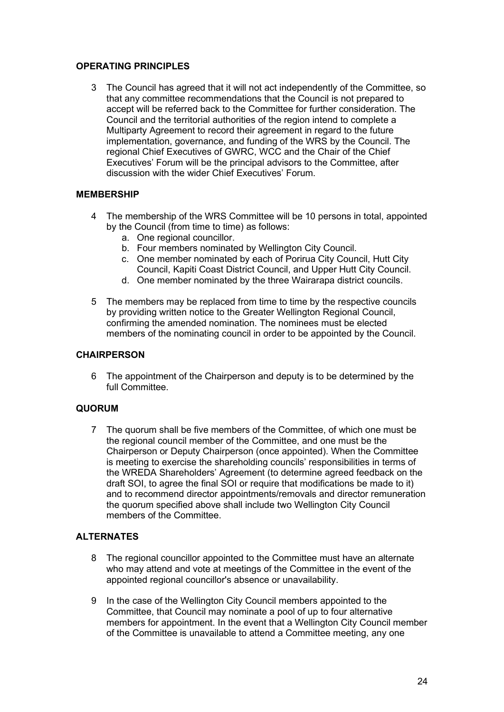## **OPERATING PRINCIPLES**

3 The Council has agreed that it will not act independently of the Committee, so that any committee recommendations that the Council is not prepared to accept will be referred back to the Committee for further consideration. The Council and the territorial authorities of the region intend to complete a Multiparty Agreement to record their agreement in regard to the future implementation, governance, and funding of the WRS by the Council. The regional Chief Executives of GWRC, WCC and the Chair of the Chief Executives' Forum will be the principal advisors to the Committee, after discussion with the wider Chief Executives' Forum.

## **MEMBERSHIP**

- 4 The membership of the WRS Committee will be 10 persons in total, appointed by the Council (from time to time) as follows:
	- a. One regional councillor.
	- b. Four members nominated by Wellington City Council.
	- c. One member nominated by each of Porirua City Council, Hutt City Council, Kapiti Coast District Council, and Upper Hutt City Council.
	- d. One member nominated by the three Wairarapa district councils.
- 5 The members may be replaced from time to time by the respective councils by providing written notice to the Greater Wellington Regional Council, confirming the amended nomination. The nominees must be elected members of the nominating council in order to be appointed by the Council.

## **CHAIRPERSON**

6 The appointment of the Chairperson and deputy is to be determined by the full Committee.

## **QUORUM**

7 The quorum shall be five members of the Committee, of which one must be the regional council member of the Committee, and one must be the Chairperson or Deputy Chairperson (once appointed). When the Committee is meeting to exercise the shareholding councils' responsibilities in terms of the WREDA Shareholders' Agreement (to determine agreed feedback on the draft SOI, to agree the final SOI or require that modifications be made to it) and to recommend director appointments/removals and director remuneration the quorum specified above shall include two Wellington City Council members of the Committee.

## **ALTERNATES**

- 8 The regional councillor appointed to the Committee must have an alternate who may attend and vote at meetings of the Committee in the event of the appointed regional councillor's absence or unavailability.
- 9 In the case of the Wellington City Council members appointed to the Committee, that Council may nominate a pool of up to four alternative members for appointment. In the event that a Wellington City Council member of the Committee is unavailable to attend a Committee meeting, any one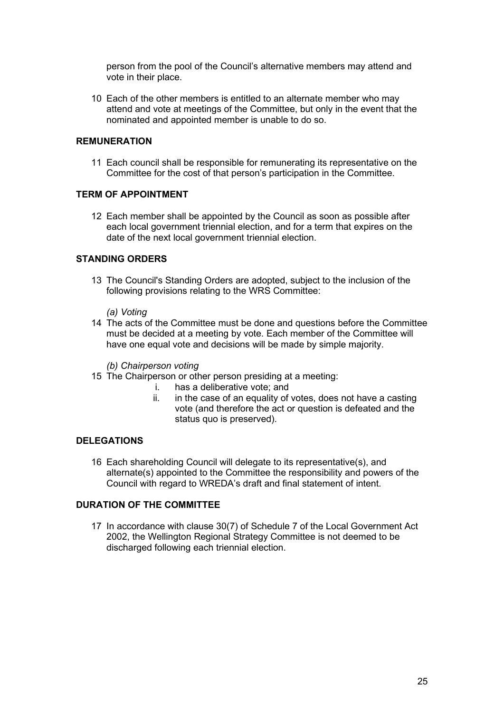person from the pool of the Council's alternative members may attend and vote in their place.

10 Each of the other members is entitled to an alternate member who may attend and vote at meetings of the Committee, but only in the event that the nominated and appointed member is unable to do so.

#### **REMUNERATION**

11 Each council shall be responsible for remunerating its representative on the Committee for the cost of that person's participation in the Committee.

#### **TERM OF APPOINTMENT**

12 Each member shall be appointed by the Council as soon as possible after each local government triennial election, and for a term that expires on the date of the next local government triennial election.

### **STANDING ORDERS**

13 The Council's Standing Orders are adopted, subject to the inclusion of the following provisions relating to the WRS Committee:

#### *(a) Voting*

14 The acts of the Committee must be done and questions before the Committee must be decided at a meeting by vote. Each member of the Committee will have one equal vote and decisions will be made by simple majority.

#### *(b) Chairperson voting*

- 15 The Chairperson or other person presiding at a meeting:
	- i. has a deliberative vote; and
	- ii. in the case of an equality of votes, does not have a casting vote (and therefore the act or question is defeated and the status quo is preserved).

#### **DELEGATIONS**

16 Each shareholding Council will delegate to its representative(s), and alternate(s) appointed to the Committee the responsibility and powers of the Council with regard to WREDA's draft and final statement of intent.

#### **DURATION OF THE COMMITTEE**

17 In accordance with clause 30(7) of Schedule 7 of the Local Government Act 2002, the Wellington Regional Strategy Committee is not deemed to be discharged following each triennial election.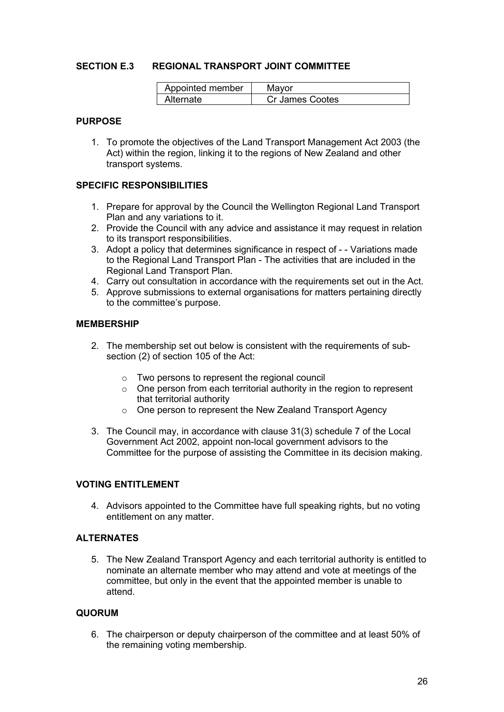#### **SECTION E.3 REGIONAL TRANSPORT JOINT COMMITTEE**

| Appointed member | Mavor           |
|------------------|-----------------|
| Alternate        | Cr James Cootes |

#### **PURPOSE**

1. To promote the objectives of the Land Transport Management Act 2003 (the Act) within the region, linking it to the regions of New Zealand and other transport systems.

#### **SPECIFIC RESPONSIBILITIES**

- 1. Prepare for approval by the Council the Wellington Regional Land Transport Plan and any variations to it.
- 2. Provide the Council with any advice and assistance it may request in relation to its transport responsibilities.
- 3. Adopt a policy that determines significance in respect of - Variations made to the Regional Land Transport Plan - The activities that are included in the Regional Land Transport Plan.
- 4. Carry out consultation in accordance with the requirements set out in the Act.
- 5. Approve submissions to external organisations for matters pertaining directly to the committee's purpose.

## **MEMBERSHIP**

- 2. The membership set out below is consistent with the requirements of subsection (2) of section 105 of the Act:
	- o Two persons to represent the regional council
	- o One person from each territorial authority in the region to represent that territorial authority
	- o One person to represent the New Zealand Transport Agency
- 3. The Council may, in accordance with clause 31(3) schedule 7 of the Local Government Act 2002, appoint non-local government advisors to the Committee for the purpose of assisting the Committee in its decision making.

#### **VOTING ENTITLEMENT**

4. Advisors appointed to the Committee have full speaking rights, but no voting entitlement on any matter.

#### **ALTERNATES**

5. The New Zealand Transport Agency and each territorial authority is entitled to nominate an alternate member who may attend and vote at meetings of the committee, but only in the event that the appointed member is unable to attend.

#### **QUORUM**

6. The chairperson or deputy chairperson of the committee and at least 50% of the remaining voting membership.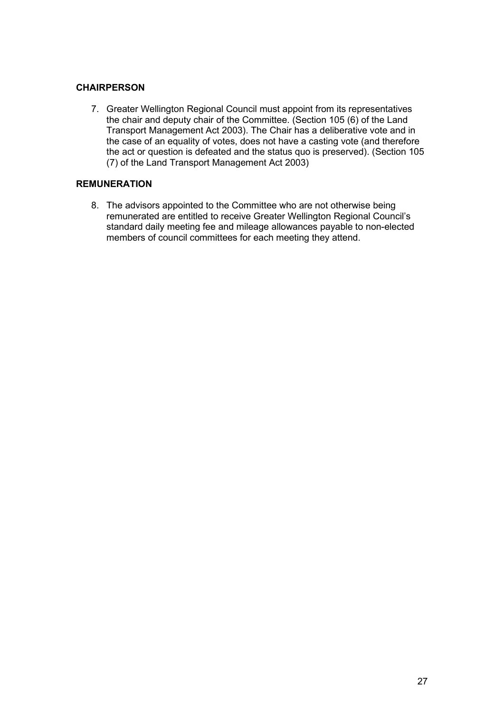## **CHAIRPERSON**

7. Greater Wellington Regional Council must appoint from its representatives the chair and deputy chair of the Committee. (Section 105 (6) of the Land Transport Management Act 2003). The Chair has a deliberative vote and in the case of an equality of votes, does not have a casting vote (and therefore the act or question is defeated and the status quo is preserved). (Section 105 (7) of the Land Transport Management Act 2003)

## **REMUNERATION**

8. The advisors appointed to the Committee who are not otherwise being remunerated are entitled to receive Greater Wellington Regional Council's standard daily meeting fee and mileage allowances payable to non-elected members of council committees for each meeting they attend.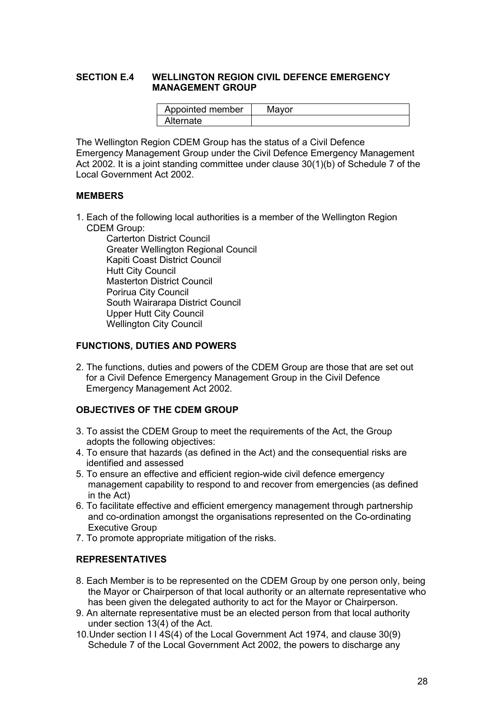#### **SECTION E.4 WELLINGTON REGION CIVIL DEFENCE EMERGENCY MANAGEMENT GROUP**

| Appointed member | Mavor |
|------------------|-------|
| Alternate        |       |

The Wellington Region CDEM Group has the status of a Civil Defence Emergency Management Group under the Civil Defence Emergency Management Act 2002. It is a joint standing committee under clause 30(1)(b) of Schedule 7 of the Local Government Act 2002.

#### **MEMBERS**

1. Each of the following local authorities is a member of the Wellington Region CDEM Group:

Carterton District Council Greater Wellington Regional Council Kapiti Coast District Council Hutt City Council Masterton District Council Porirua City Council South Wairarapa District Council Upper Hutt City Council Wellington City Council

#### **FUNCTIONS, DUTIES AND POWERS**

2. The functions, duties and powers of the CDEM Group are those that are set out for a Civil Defence Emergency Management Group in the Civil Defence Emergency Management Act 2002.

## **OBJECTIVES OF THE CDEM GROUP**

- 3. To assist the CDEM Group to meet the requirements of the Act, the Group adopts the following objectives:
- 4. To ensure that hazards (as defined in the Act) and the consequential risks are identified and assessed
- 5. To ensure an effective and efficient region-wide civil defence emergency management capability to respond to and recover from emergencies (as defined in the Act)
- 6. To facilitate effective and efficient emergency management through partnership and co-ordination amongst the organisations represented on the Co-ordinating Executive Group
- 7. To promote appropriate mitigation of the risks.

## **REPRESENTATIVES**

- 8. Each Member is to be represented on the CDEM Group by one person only, being the Mayor or Chairperson of that local authority or an alternate representative who has been given the delegated authority to act for the Mayor or Chairperson.
- 9. An alternate representative must be an elected person from that local authority under section 13(4) of the Act.
- 10.Under section I I 4S(4) of the Local Government Act 1974, and clause 30(9) Schedule 7 of the Local Government Act 2002, the powers to discharge any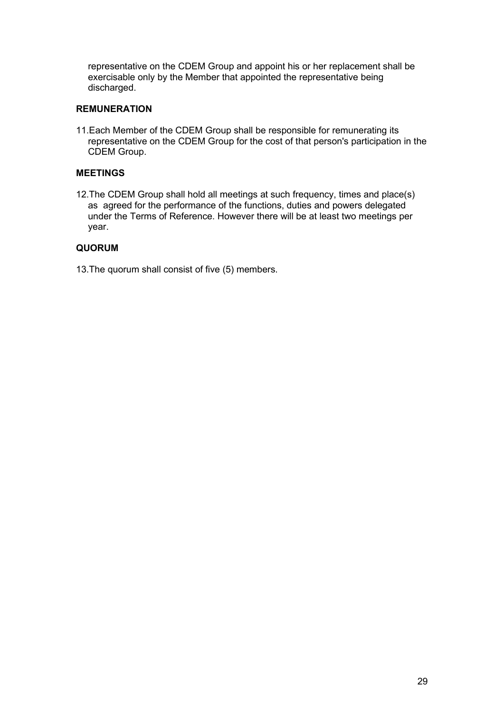representative on the CDEM Group and appoint his or her replacement shall be exercisable only by the Member that appointed the representative being discharged.

#### **REMUNERATION**

11.Each Member of the CDEM Group shall be responsible for remunerating its representative on the CDEM Group for the cost of that person's participation in the CDEM Group.

## **MEETINGS**

12.The CDEM Group shall hold all meetings at such frequency, times and place(s) as agreed for the performance of the functions, duties and powers delegated under the Terms of Reference. However there will be at least two meetings per year.

#### **QUORUM**

13.The quorum shall consist of five (5) members.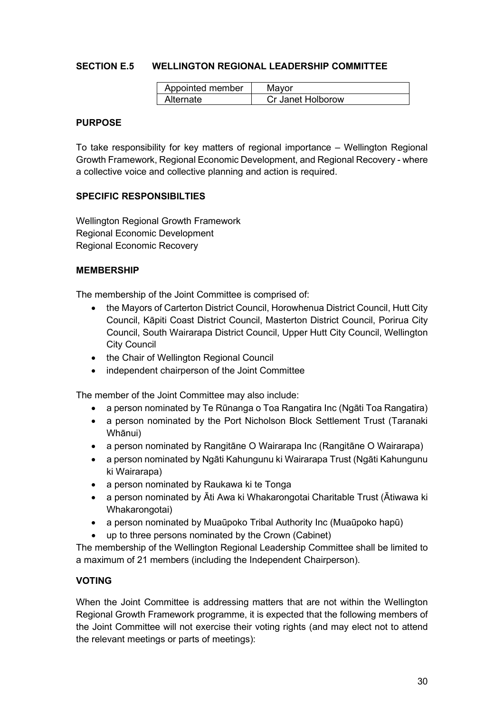## **SECTION E.5 WELLINGTON REGIONAL LEADERSHIP COMMITTEE**

| Appointed member | Mavor             |
|------------------|-------------------|
| Alternate        | Cr Janet Holborow |

#### **PURPOSE**

To take responsibility for key matters of regional importance – Wellington Regional Growth Framework, Regional Economic Development, and Regional Recovery - where a collective voice and collective planning and action is required.

#### **SPECIFIC RESPONSIBILTIES**

Wellington Regional Growth Framework Regional Economic Development Regional Economic Recovery

#### **MEMBERSHIP**

The membership of the Joint Committee is comprised of:

- the Mayors of Carterton District Council, Horowhenua District Council, Hutt City Council, Kāpiti Coast District Council, Masterton District Council, Porirua City Council, South Wairarapa District Council, Upper Hutt City Council, Wellington City Council
- the Chair of Wellington Regional Council
- independent chairperson of the Joint Committee

The member of the Joint Committee may also include:

- a person nominated by Te Rūnanga o Toa Rangatira Inc (Ngāti Toa Rangatira)
- a person nominated by the Port Nicholson Block Settlement Trust (Taranaki Whānui)
- a person nominated by Rangitāne O Wairarapa Inc (Rangitāne O Wairarapa)
- a person nominated by Ngāti Kahungunu ki Wairarapa Trust (Ngāti Kahungunu ki Wairarapa)
- a person nominated by Raukawa ki te Tonga
- a person nominated by Āti Awa ki Whakarongotai Charitable Trust (Ātiwawa ki Whakarongotai)
- a person nominated by Muaūpoko Tribal Authority Inc (Muaūpoko hapū)
- up to three persons nominated by the Crown (Cabinet)

The membership of the Wellington Regional Leadership Committee shall be limited to a maximum of 21 members (including the Independent Chairperson).

#### **VOTING**

When the Joint Committee is addressing matters that are not within the Wellington Regional Growth Framework programme, it is expected that the following members of the Joint Committee will not exercise their voting rights (and may elect not to attend the relevant meetings or parts of meetings):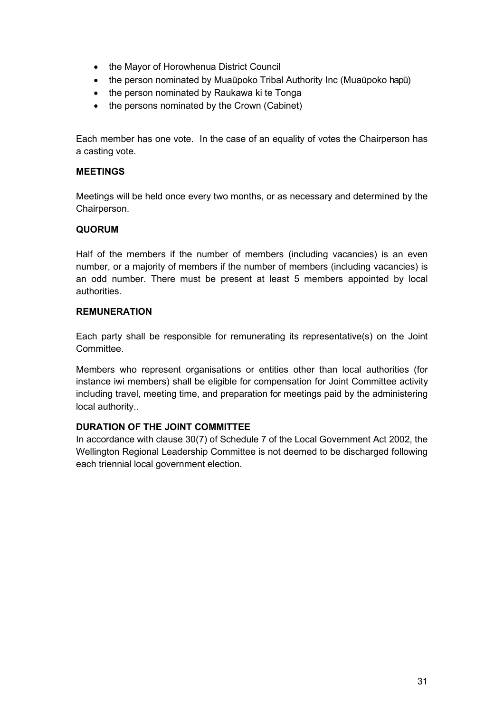- the Mayor of Horowhenua District Council
- the person nominated by Muaūpoko Tribal Authority Inc (Muaūpoko hapū)
- the person nominated by Raukawa ki te Tonga
- the persons nominated by the Crown (Cabinet)

Each member has one vote. In the case of an equality of votes the Chairperson has a casting vote.

## **MEETINGS**

Meetings will be held once every two months, or as necessary and determined by the Chairperson.

## **QUORUM**

Half of the members if the number of members (including vacancies) is an even number, or a majority of members if the number of members (including vacancies) is an odd number. There must be present at least 5 members appointed by local authorities.

## **REMUNERATION**

Each party shall be responsible for remunerating its representative(s) on the Joint Committee.

Members who represent organisations or entities other than local authorities (for instance iwi members) shall be eligible for compensation for Joint Committee activity including travel, meeting time, and preparation for meetings paid by the administering local authority..

## **DURATION OF THE JOINT COMMITTEE**

In accordance with clause 30(7) of Schedule 7 of the Local Government Act 2002, the Wellington Regional Leadership Committee is not deemed to be discharged following each triennial local government election.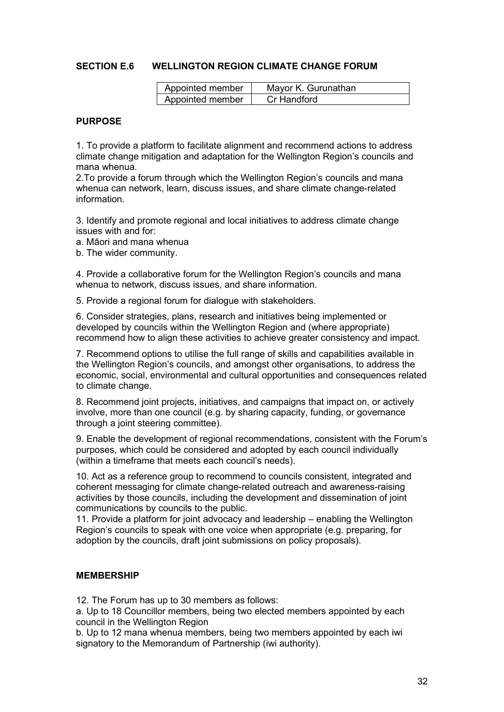#### **SECTION E.6 WELLINGTON REGION CLIMATE CHANGE FORUM**

| Appointed member | Mayor K. Gurunathan |
|------------------|---------------------|
| Appointed member | Cr Handford         |

#### **PURPOSE**

1. To provide a platform to facilitate alignment and recommend actions to address climate change mitigation and adaptation for the Wellington Region's councils and mana whenua.

2.To provide a forum through which the Wellington Region's councils and mana whenua can network, learn, discuss issues, and share climate change-related information.

3. Identify and promote regional and local initiatives to address climate change issues with and for:

- a. Māori and mana whenua
- b. The wider community.

4. Provide a collaborative forum for the Wellington Region's councils and mana whenua to network, discuss issues, and share information.

5. Provide a regional forum for dialogue with stakeholders.

6. Consider strategies, plans, research and initiatives being implemented or developed by councils within the Wellington Region and (where appropriate) recommend how to align these activities to achieve greater consistency and impact.

7. Recommend options to utilise the full range of skills and capabilities available in the Wellington Region's councils, and amongst other organisations, to address the economic, social, environmental and cultural opportunities and consequences related to climate change.

8. Recommend joint projects, initiatives, and campaigns that impact on, or actively involve, more than one council (e.g. by sharing capacity, funding, or governance through a joint steering committee).

9. Enable the development of regional recommendations, consistent with the Forum's purposes, which could be considered and adopted by each council individually (within a timeframe that meets each council's needs).

10. Act as a reference group to recommend to councils consistent, integrated and coherent messaging for climate change-related outreach and awareness-raising activities by those councils, including the development and dissemination of joint communications by councils to the public.

11. Provide a platform for joint advocacy and leadership – enabling the Wellington Region's councils to speak with one voice when appropriate (e.g. preparing, for adoption by the councils, draft joint submissions on policy proposals).

#### **MEMBERSHIP**

12. The Forum has up to 30 members as follows:

a. Up to 18 Councillor members, being two elected members appointed by each council in the Wellington Region

b. Up to 12 mana whenua members, being two members appointed by each iwi signatory to the Memorandum of Partnership (iwi authority).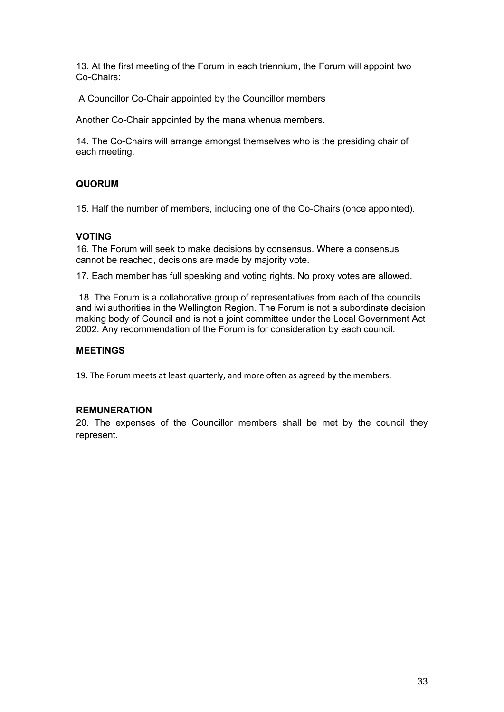13. At the first meeting of the Forum in each triennium, the Forum will appoint two Co-Chairs:

A Councillor Co-Chair appointed by the Councillor members

Another Co-Chair appointed by the mana whenua members.

14. The Co-Chairs will arrange amongst themselves who is the presiding chair of each meeting.

## **QUORUM**

15. Half the number of members, including one of the Co-Chairs (once appointed).

## **VOTING**

16. The Forum will seek to make decisions by consensus. Where a consensus cannot be reached, decisions are made by majority vote.

17. Each member has full speaking and voting rights. No proxy votes are allowed.

18. The Forum is a collaborative group of representatives from each of the councils and iwi authorities in the Wellington Region. The Forum is not a subordinate decision making body of Council and is not a joint committee under the Local Government Act 2002. Any recommendation of the Forum is for consideration by each council.

## **MEETINGS**

19. The Forum meets at least quarterly, and more often as agreed by the members.

## **REMUNERATION**

20. The expenses of the Councillor members shall be met by the council they represent.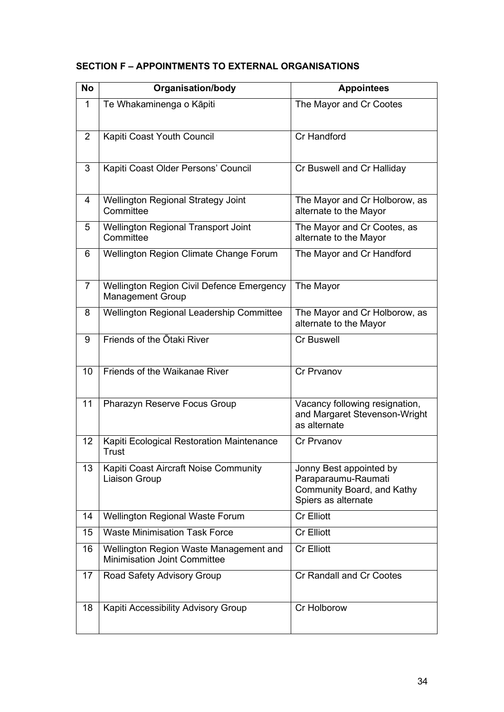| <b>No</b>      | <b>Organisation/body</b>                                                      | <b>Appointees</b>                                                                                   |
|----------------|-------------------------------------------------------------------------------|-----------------------------------------------------------------------------------------------------|
| 1              | Te Whakaminenga o Kāpiti                                                      | The Mayor and Cr Cootes                                                                             |
| 2              | Kapiti Coast Youth Council                                                    | Cr Handford                                                                                         |
| 3              | Kapiti Coast Older Persons' Council                                           | Cr Buswell and Cr Halliday                                                                          |
| 4              | <b>Wellington Regional Strategy Joint</b><br>Committee                        | The Mayor and Cr Holborow, as<br>alternate to the Mayor                                             |
| 5              | <b>Wellington Regional Transport Joint</b><br>Committee                       | The Mayor and Cr Cootes, as<br>alternate to the Mayor                                               |
| 6              | Wellington Region Climate Change Forum                                        | The Mayor and Cr Handford                                                                           |
| $\overline{7}$ | <b>Wellington Region Civil Defence Emergency</b><br><b>Management Group</b>   | The Mayor                                                                                           |
| 8              | Wellington Regional Leadership Committee                                      | The Mayor and Cr Holborow, as<br>alternate to the Mayor                                             |
| 9              | Friends of the Otaki River                                                    | <b>Cr Buswell</b>                                                                                   |
| 10             | Friends of the Waikanae River                                                 | <b>Cr Prvanov</b>                                                                                   |
| 11             | Pharazyn Reserve Focus Group                                                  | Vacancy following resignation,<br>and Margaret Stevenson-Wright<br>as alternate                     |
| 12             | Kapiti Ecological Restoration Maintenance<br><b>Trust</b>                     | <b>Cr Prvanov</b>                                                                                   |
| 13             | Kapiti Coast Aircraft Noise Community<br>Liaison Group                        | Jonny Best appointed by<br>Paraparaumu-Raumati<br>Community Board, and Kathy<br>Spiers as alternate |
| 14             | <b>Wellington Regional Waste Forum</b>                                        | <b>Cr Elliott</b>                                                                                   |
| 15             | <b>Waste Minimisation Task Force</b>                                          | <b>Cr Elliott</b>                                                                                   |
| 16             | Wellington Region Waste Management and<br><b>Minimisation Joint Committee</b> | <b>Cr Elliott</b>                                                                                   |
| 17             | Road Safety Advisory Group                                                    | Cr Randall and Cr Cootes                                                                            |
| 18             | Kapiti Accessibility Advisory Group                                           | Cr Holborow                                                                                         |

## **SECTION F – APPOINTMENTS TO EXTERNAL ORGANISATIONS**